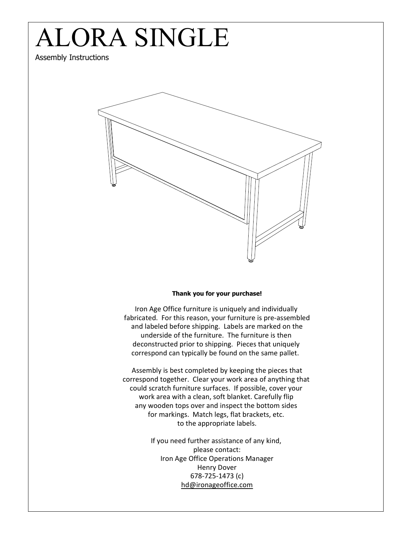

## Thank you for your purchase!

Iron Age Office furniture is uniquely and individually fabricated. For this reason, your furniture is pre-assembled and labeled before shipping. Labels are marked on the underside of the furniture. The furniture is then deconstructed prior to shipping. Pieces that uniquely correspond can typically be found on the same pallet.

Assembly is best completed by keeping the pieces that correspond together. Clear your work area of anything that could scratch furniture surfaces. If possible, cover your work area with a clean, soft blanket. Carefully flip any wooden tops over and inspect the bottom sides for markings. Match legs, flat brackets, etc. to the appropriate labels.

> If you need further assistance of any kind, please contact: Iron Age Office Operations Manager Henry Dover 678-725-1473 (c) hd@ironageoffice.com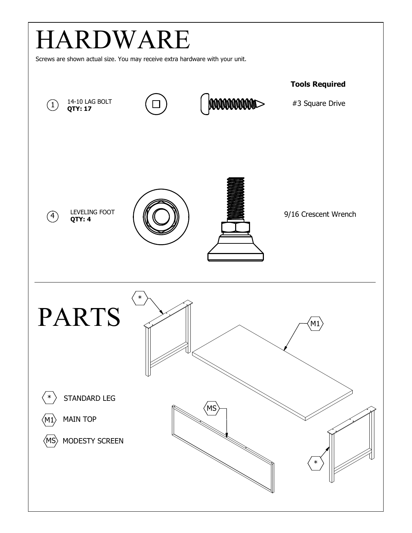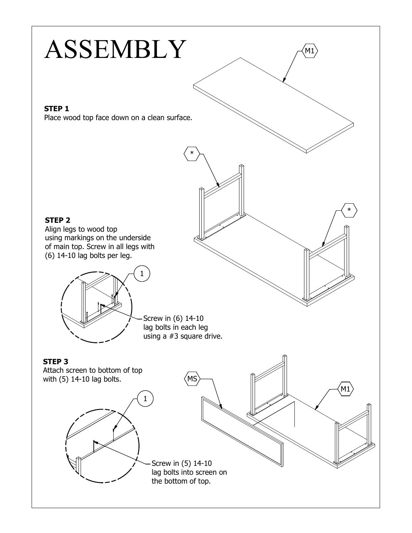